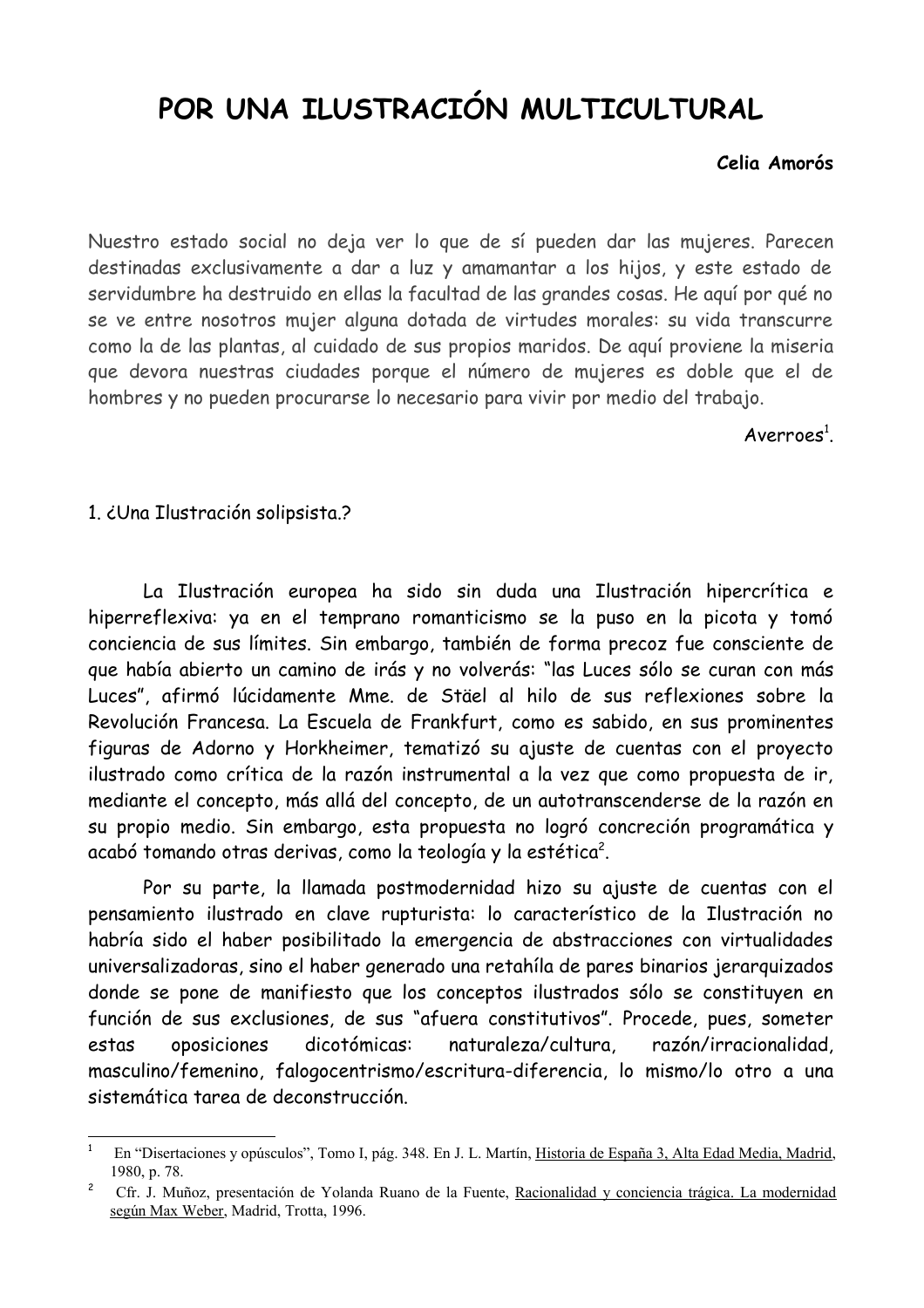## POR UNA ILUSTRACIÓN MULTICULTURAL

## Celia Amorós

Nuestro estado social no deja ver lo que de sí pueden dar las mujeres. Parecen destinadas exclusivamente a dar a luz y amamantar a los hijos, y este estado de servidumbre ha destruido en ellas la facultad de las grandes cosas. He aquí por qué no se ve entre nosotros mujer alguna dotada de virtudes morales: su vida transcurre como la de las plantas, al cuidado de sus propios maridos. De aquí proviene la miseria que devora nuestras ciudades porque el número de mujeres es doble que el de hombres y no pueden procurarse lo necesario para vivir por medio del trabajo.

 $A$ verroes<sup>1</sup>.

1. ¿Una Ilustración solipsista.?

La Ilustración europea ha sido sin duda una Ilustración hipercrítica e hiperreflexiva: ya en el temprano romanticismo se la puso en la picota y tomó conciencia de sus límites. Sin embargo, también de forma precoz fue consciente de que había abierto un camino de irás y no volverás: "las Luces sólo se curan con más Luces", afirmó lúcidamente Mme. de Stäel al hilo de sus reflexiones sobre la Revolución Francesa. La Escuela de Frankfurt, como es sabido, en sus prominentes figuras de Adorno y Horkheimer, tematizó su ajuste de cuentas con el proyecto ilustrado como crítica de la razón instrumental a la vez que como propuesta de ir, mediante el concepto, más allá del concepto, de un autotranscenderse de la razón en su propio medio. Sin embargo, esta propuesta no logró concreción programática y acabó tomando otras derivas, como la teología y la estética<sup>2</sup>.

Por su parte, la llamada postmodernidad hizo su ajuste de cuentas con el pensamiento ilustrado en clave rupturista: lo característico de la Ilustración no habría sido el haber posibilitado la emergencia de abstracciones con virtualidades universalizadoras, sino el haber generado una retahíla de pares binarios jerarguizados donde se pone de manifiesto que los conceptos ilustrados sólo se constituyen en función de sus exclusiones, de sus "afuera constitutivos". Procede, pues, someter oposiciones dicotómicas: naturaleza/cultura. razón/irracionalidad. estas masculino/femenino, falogocentrismo/escritura-diferencia, lo mismo/lo otro a una sistemática tarea de deconstrucción.

En "Disertaciones y opúsculos", Tomo I, pág. 348. En J. L. Martín, Historia de España 3, Alta Edad Media, Madrid, 1980, p. 78.

<sup>&</sup>lt;sup>2</sup> Cfr. J. Muñoz, presentación de Yolanda Ruano de la Fuente, Racionalidad y conciencia trágica. La modernidad según Max Weber, Madrid, Trotta, 1996.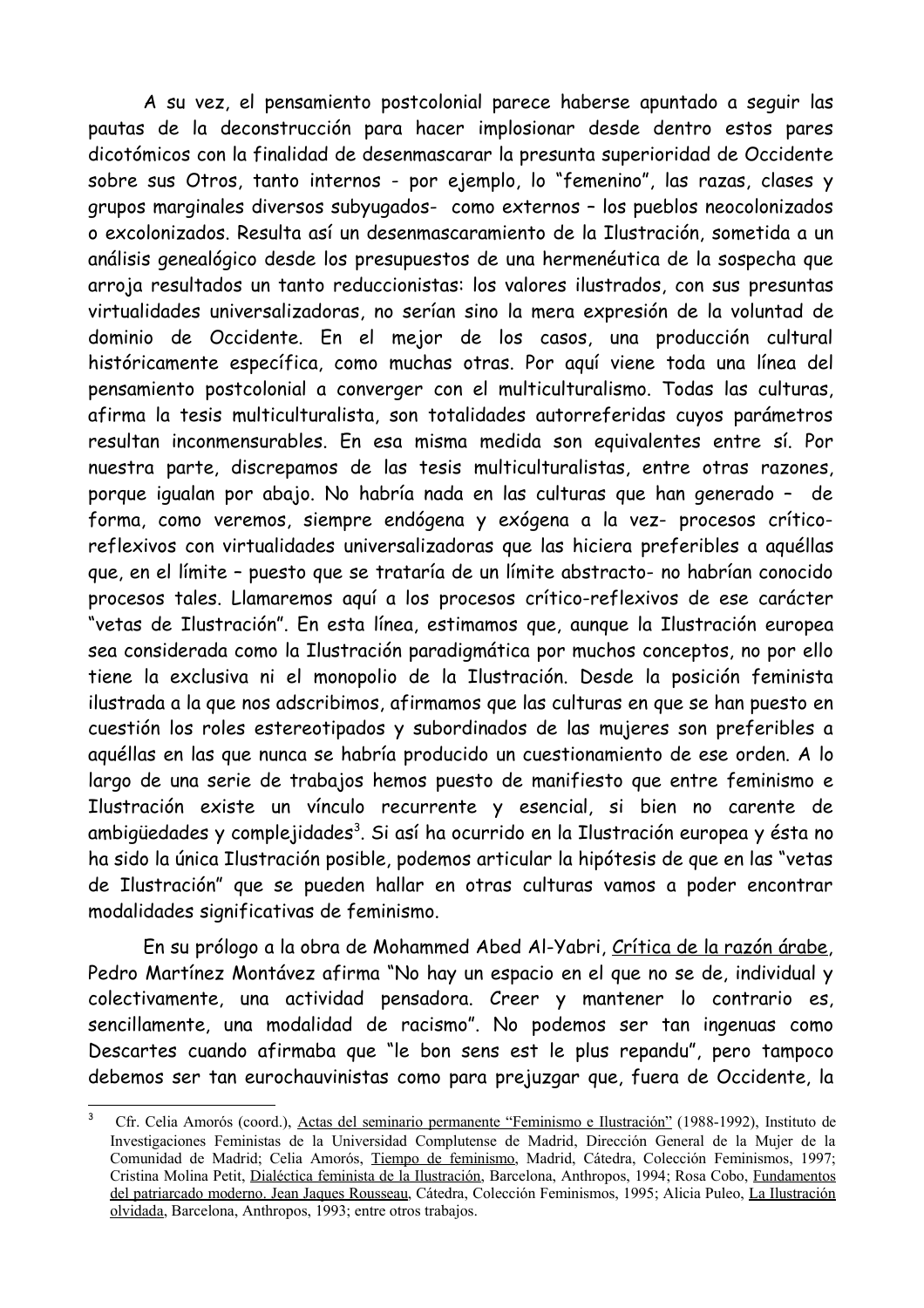A su vez, el pensamiento postcolonial parece haberse apuntado a seguir las pautas de la deconstrucción para hacer implosionar desde dentro estos pares dicotómicos con la finalidad de desenmascarar la presunta superioridad de Occidente sobre sus Otros, tanto internos - por ejemplo, lo "femenino", las razas, clases y grupos marginales diversos subyugados- como externos - los pueblos neocolonizados o excolonizados. Resulta así un desenmascaramiento de la Ilustración, sometida a un análisis genealógico desde los presupuestos de una hermenéutica de la sospecha que arroja resultados un tanto reduccionistas: los valores ilustrados, con sus presuntas virtualidades universalizadoras, no serían sino la mera expresión de la voluntad de dominio de Occidente. En el mejor de los casos, una producción cultural históricamente específica, como muchas otras. Por aquí viene toda una línea del pensamiento postcolonial a converger con el multiculturalismo. Todas las culturas, afirma la tesis multiculturalista, son totalidades autorreferidas cuyos parámetros resultan inconmensurables. En esa misma medida son equivalentes entre sí. Por nuestra parte, discrepamos de las tesis multiculturalistas, entre otras razones, porque igualan por abajo. No habría nada en las culturas que han generado - de forma, como veremos, siempre endógena y exógena a la vez- procesos críticoreflexivos con virtualidades universalizadoras que las hiciera preferibles a aquéllas que, en el límite - puesto que se trataría de un límite abstracto- no habrían conocido procesos tales. Llamaremos aquí a los procesos crítico-reflexivos de ese carácter "vetas de Ilustración". En esta línea, estimamos que, aunque la Ilustración europea sea considerada como la Ilustración paradigmática por muchos conceptos, no por ello tiene la exclusiva ni el monopolio de la Ilustración. Desde la posición feminista ilustrada a la que nos adscribimos, afirmamos que las culturas en que se han puesto en cuestión los roles estereotipados y subordinados de las mujeres son preferibles a aquéllas en las que nunca se habría producido un cuestionamiento de ese orden. A lo largo de una serie de trabajos hemos puesto de manifiesto que entre feminismo e Ilustración existe un vínculo recurrente y esencial, si bien no carente de ambiguedades y complejidades<sup>3</sup>. Si así ha ocurrido en la Ilustración europea y ésta no ha sido la única Ilustración posible, podemos articular la hipótesis de que en las "vetas de Ilustración" que se pueden hallar en otras culturas vamos a poder encontrar modalidades significativas de feminismo.

En su prólogo a la obra de Mohammed Abed Al-Yabri, Crítica de la razón árabe, Pedro Martínez Montávez afirma "No hay un espacio en el que no se de, individual y colectivamente, una actividad pensadora. Creer y mantener lo contrario es, sencillamente, una modalidad de racismo". No podemos ser tan ingenuas como Descartes cuando afirmaba que "le bon sens est le plus repandu", pero tampoco debemos ser tan eurochauvinistas como para prejuzgar que, fuera de Occidente, la

Cfr. Celia Amorós (coord.), Actas del seminario permanente "Feminismo e Ilustración" (1988-1992), Instituto de Investigaciones Feministas de la Universidad Complutense de Madrid, Dirección General de la Mujer de la Comunidad de Madrid; Celia Amorós, Tiempo de feminismo, Madrid, Cátedra, Colección Feminismos, 1997; Cristina Molina Petit, Dialéctica feminista de la Ilustración, Barcelona, Anthropos, 1994; Rosa Cobo, Fundamentos del patriarcado moderno. Jean Jaques Rousseau, Cátedra, Colección Feminismos, 1995; Alicia Puleo, La Ilustración olvidada, Barcelona, Anthropos, 1993; entre otros trabajos.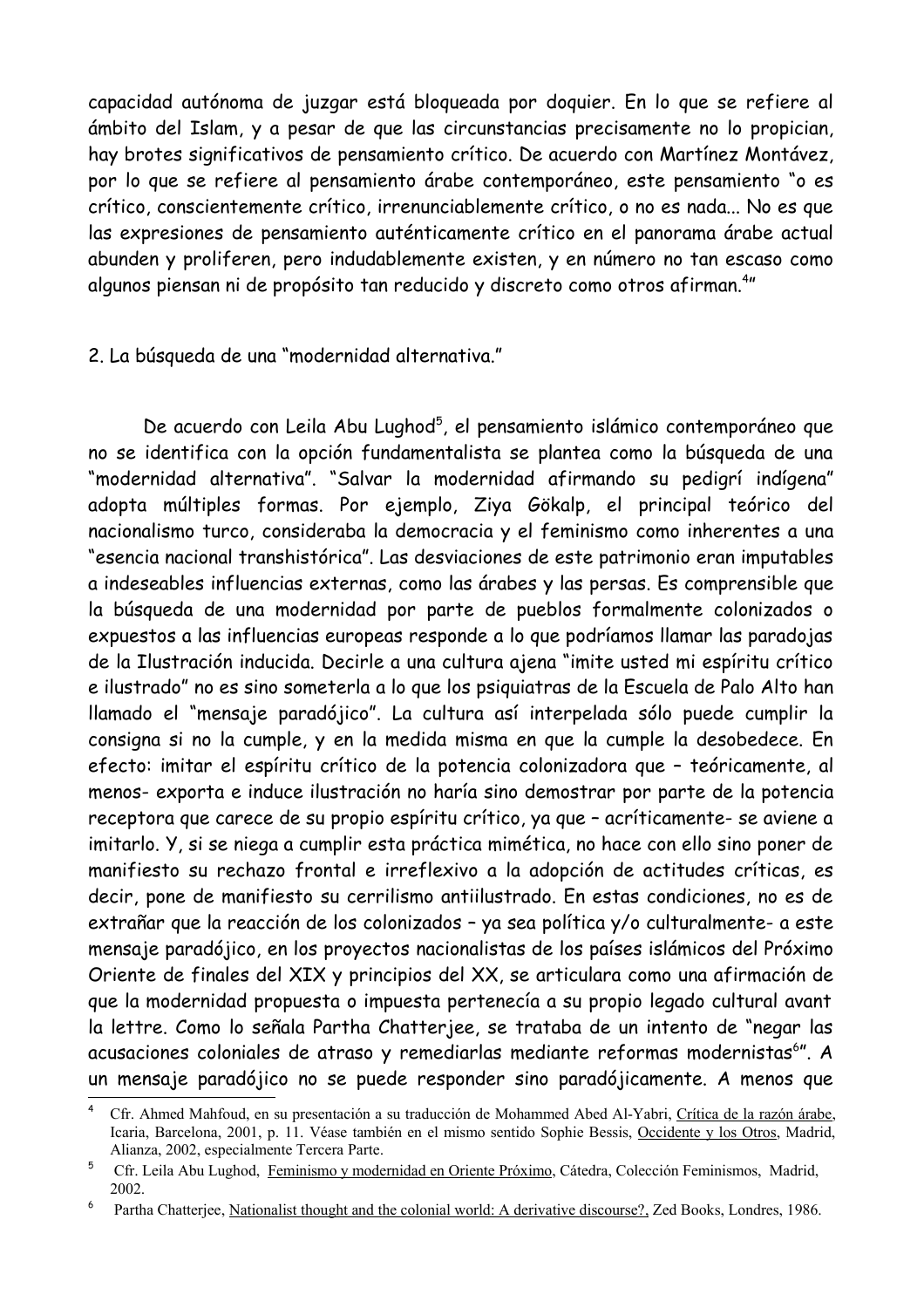capacidad autónoma de juzgar está bloqueada por doquier. En lo que se refiere al ámbito del Islam, y a pesar de que las circunstancias precisamente no lo propician, hay brotes significativos de pensamiento crítico. De acuerdo con Martínez Montávez, por lo que se refiere al pensamiento árabe contemporáneo, este pensamiento "o es crítico, conscientemente crítico, irrenunciablemente crítico, o no es nada... No es que las expresiones de pensamiento auténticamente crítico en el panorama árabe actual abunden y proliferen, pero indudablemente existen, y en número no tan escaso como algunos piensan ni de propósito tan reducido y discreto como otros afirman.<sup>4</sup>"

2. La búsqueda de una "modernidad alternativa."

De acuerdo con Leila Abu Lughod<sup>5</sup>, el pensamiento islámico contemporáneo que no se identifica con la opción fundamentalista se plantea como la búsqueda de una "modernidad alternativa". "Salvar la modernidad afirmando su pedigrí indígena" adopta múltiples formas. Por ejemplo, Ziya Gökalp, el principal teórico del nacionalismo turco, consideraba la democracia y el feminismo como inherentes a una "esencia nacional transhistórica". Las desviaciones de este patrimonio eran imputables a indeseables influencias externas, como las árabes y las persas. Es comprensible que la búsqueda de una modernidad por parte de pueblos formalmente colonizados o expuestos a las influencias europeas responde a lo que podríamos llamar las paradojas de la Ilustración inducida. Decirle a una cultura ajena "imite usted mi espíritu crítico e ilustrado" no es sino someterla a lo que los psiguiatras de la Escuela de Palo Alto han llamado el "mensaje paradójico". La cultura así interpelada sólo puede cumplir la consigna si no la cumple, y en la medida misma en que la cumple la desobedece. En efecto: imitar el espíritu crítico de la potencia colonizadora que - teóricamente, al menos- exporta e induce ilustración no haría sino demostrar por parte de la potencia receptora que carece de su propio espíritu crítico, ya que - acríticamente- se aviene a imitarlo. Y, si se niega a cumplir esta práctica mimética, no hace con ello sino poner de manifiesto su rechazo frontal e irreflexivo a la adopción de actitudes críticas, es decir, pone de manifiesto su cerrilismo antiilustrado. En estas condiciones, no es de extrañar que la reacción de los colonizados - ya sea política y/o culturalmente- a este mensaje paradójico, en los proyectos nacionalistas de los países islámicos del Próximo Oriente de finales del XIX y principios del XX, se articulara como una afirmación de que la modernidad propuesta o impuesta pertenecía a su propio legado cultural avant la lettre. Como lo señala Partha Chatterjee, se trataba de un intento de "negar las acusaciones coloniales de atraso y remediarlas mediante reformas modernistas<sup>6"</sup>. A un mensaje paradójico no se puede responder sino paradójicamente. A menos que

Cfr. Ahmed Mahfoud, en su presentación a su traducción de Mohammed Abed Al-Yabri, Crítica de la razón árabe, Icaria, Barcelona, 2001, p. 11. Véase también en el mismo sentido Sophie Bessis, Occidente y los Otros, Madrid, Alianza, 2002, especialmente Tercera Parte.

<sup>5</sup> Cfr. Leila Abu Lughod, Feminismo y modernidad en Oriente Próximo, Cátedra, Colección Feminismos, Madrid, 2002.

 $\overline{6}$ Partha Chatterjee, Nationalist thought and the colonial world: A derivative discourse?, Zed Books, Londres, 1986.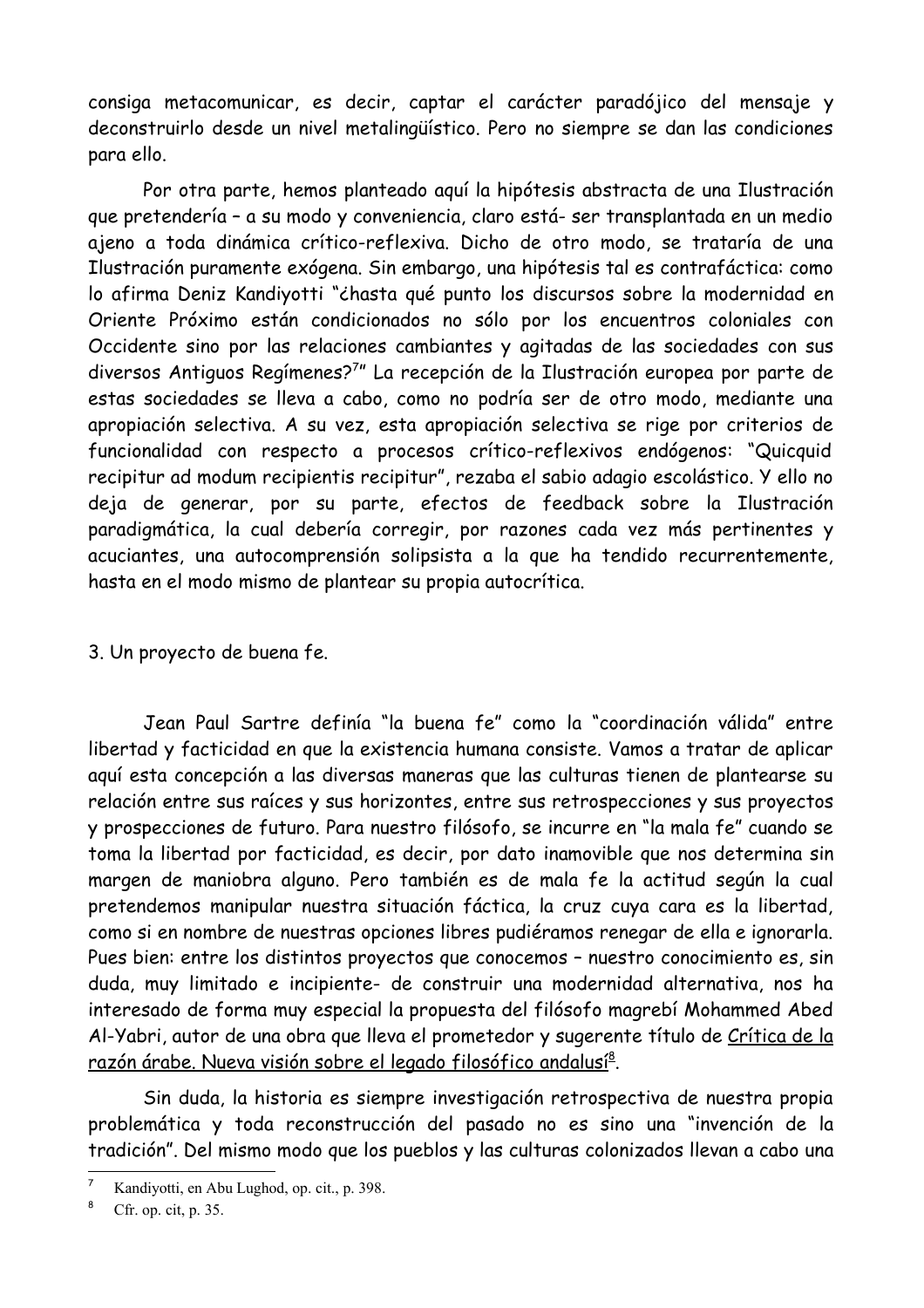consiga metacomunicar, es decir, captar el carácter paradójico del mensaje y deconstruirlo desde un nivel metalingüístico. Pero no siempre se dan las condiciones para ello.

Por otra parte, hemos planteado aquí la hipótesis abstracta de una Ilustración que pretendería - a su modo y conveniencia, claro está-ser transplantada en un medio ajeno a toda dinámica crítico-reflexiva. Dicho de otro modo, se trataría de una Ilustración puramente exógena. Sin embargo, una hipótesis tal es contrafáctica: como lo afirma Deniz Kandiyotti "¿hasta qué punto los discursos sobre la modernidad en Oriente Próximo están condicionados no sólo por los encuentros coloniales con Occidente sino por las relaciones cambiantes y agitadas de las sociedades con sus diversos Antiguos Regímenes?<sup>7</sup>" La recepción de la Ilustración europea por parte de estas sociedades se lleva a cabo, como no podría ser de otro modo, mediante una apropiación selectiva. A su vez, esta apropiación selectiva se rige por criterios de funcionalidad con respecto a procesos crítico-reflexivos endógenos: "Quicquid recipitur ad modum recipientis recipitur", rezaba el sabio adagio escolástico. Y ello no deja de generar, por su parte, efectos de feedback sobre la Ilustración paradigmática, la cual debería corregir, por razones cada vez más pertinentes y acuciantes, una autocomprensión solipsista a la que ha tendido recurrentemente, hasta en el modo mismo de plantear su propia autocrítica.

## 3. Un proyecto de buena fe.

Jean Paul Sartre definía "la buena fe" como la "coordinación válida" entre libertad y facticidad en que la existencia humana consiste. Vamos a tratar de aplicar aquí esta concepción a las diversas maneras que las culturas tienen de plantearse su relación entre sus raíces y sus horizontes, entre sus retrospecciones y sus proyectos y prospecciones de futuro. Para nuestro filósofo, se incurre en "la mala fe" cuando se toma la libertad por facticidad, es decir, por dato inamovible que nos determina sin margen de maniobra alguno. Pero también es de mala fe la actitud según la cual pretendemos manipular nuestra situación fáctica, la cruz cuya cara es la libertad, como si en nombre de nuestras opciones libres pudiéramos renegar de ella e ignorarla. Pues bien: entre los distintos proyectos que conocemos - nuestro conocimiento es, sin duda, muy limitado e incipiente- de construir una modernidad alternativa, nos ha interesado de forma muy especial la propuesta del filósofo magrebí Mohammed Abed Al-Yabri, autor de una obra que lleva el prometedor y sugerente título de Crítica de la razón árabe. Nueva visión sobre el legado filosófico andalusí<sup>8</sup>.

Sin duda, la historia es siempre investigación retrospectiva de nuestra propia problemática y toda reconstrucción del pasado no es sino una "invención de la tradición". Del mismo modo que los pueblos y las culturas colonizados llevan a cabo una

Kandiyotti, en Abu Lughod, op. cit., p. 398.

<sup>8</sup> Cfr. op. cit, p. 35.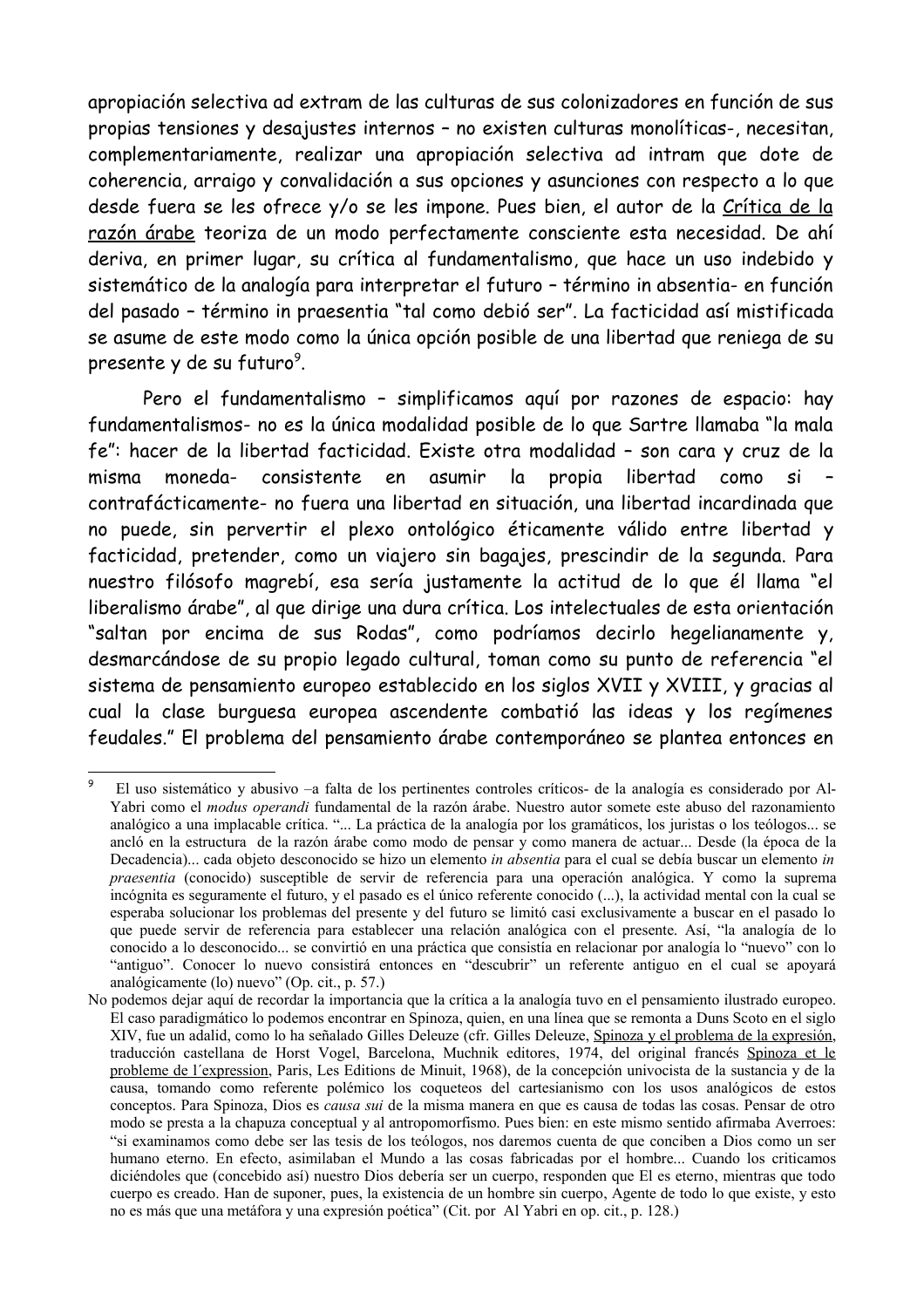apropiación selectiva ad extram de las culturas de sus colonizadores en función de sus propias tensiones y desajustes internos - no existen culturas monolíticas-, necesitan, complementariamente, realizar una apropiación selectiva ad intram que dote de coherencia, arraigo y convalidación a sus opciones y asunciones con respecto a lo que desde fuera se les ofrece y/o se les impone. Pues bien, el autor de la Crítica de la razón árabe teoriza de un modo perfectamente consciente esta necesidad. De ahí deriva, en primer lugar, su crítica al fundamentalismo, que hace un uso indebido y sistemático de la analogía para interpretar el futuro - término in absentia- en función del pasado - término in praesentia "tal como debió ser". La facticidad así mistificada se asume de este modo como la única opción posible de una libertad que reniega de su presente y de su futuro<sup>9</sup>.

Pero el fundamentalismo - simplificamos aguí por razones de espacio: hay fundamentalismos- no es la única modalidad posible de lo que Sartre llamaba "la mala fe": hacer de la libertad facticidad. Existe otra modalidad - son cara y cruz de la misma moneda- consistente en asumir la propia libertad como si contrafácticamente- no fuera una libertad en situación, una libertad incardinada que no puede, sin pervertir el plexo ontológico éticamente válido entre libertad y facticidad, pretender, como un viajero sin bagajes, prescindir de la segunda. Para nuestro filósofo magrebí, esa sería justamente la actitud de lo que él llama "el liberalismo árabe", al que dirige una dura crítica. Los intelectuales de esta orientación "saltan por encima de sus Rodas", como podríamos decirlo hegelianamente y, desmarcándose de su propio legado cultural, toman como su punto de referencia "el sistema de pensamiento europeo establecido en los siglos XVII y XVIII, y gracias al cual la clase burguesa europea ascendente combatió las ideas y los regímenes feudales." El problema del pensamiento árabe contemporáneo se plantea entonces en

El uso sistemático y abusivo –a falta de los pertinentes controles críticos- de la analogía es considerado por Al-Yabri como el modus operandi fundamental de la razón árabe. Nuestro autor somete este abuso del razonamiento analógico a una implacable crítica. "... La práctica de la analogía por los gramáticos, los juristas o los teólogos... se ancló en la estructura de la razón árabe como modo de pensar y como manera de actuar... Desde (la época de la Decadencia)... cada objeto desconocido se hizo un elemento in absentia para el cual se debía buscar un elemento in praesentia (conocido) susceptible de servir de referencia para una operación analógica. Y como la suprema incógnita es seguramente el futuro, y el pasado es el único referente conocido (...), la actividad mental con la cual se esperaba solucionar los problemas del presente y del futuro se limitó casi exclusivamente a buscar en el pasado lo que puede servir de referencia para establecer una relación analógica con el presente. Así, "la analogía de lo conocido a lo desconocido... se convirtió en una práctica que consistía en relacionar por analogía lo "nuevo" con lo "antiguo". Conocer lo nuevo consistirá entonces en "descubrir" un referente antiguo en el cual se apoyará analógicamente (lo) nuevo" (Op. cit., p. 57.)

No podemos dejar aquí de recordar la importancia que la crítica a la analogía tuvo en el pensamiento ilustrado europeo. El caso paradigmático lo podemos encontrar en Spinoza, quien, en una línea que se remonta a Duns Scoto en el siglo XIV, fue un adalid, como lo ha señalado Gilles Deleuze (cfr. Gilles Deleuze, Spinoza y el problema de la expresión, traducción castellana de Horst Vogel, Barcelona, Muchnik editores, 1974, del original francés Spinoza et le probleme de l'expression, Paris, Les Editions de Minuit, 1968), de la concepción univocista de la sustancia y de la causa, tomando como referente polémico los coqueteos del cartesianismo con los usos analógicos de estos conceptos. Para Spinoza, Dios es causa sui de la misma manera en que es causa de todas las cosas. Pensar de otro modo se presta a la chapuza conceptual y al antropomorfismo. Pues bien: en este mismo sentido afirmaba Averroes: "si examinamos como debe ser las tesis de los teólogos, nos daremos cuenta de que conciben a Dios como un ser humano eterno. En efecto, asimilaban el Mundo a las cosas fabricadas por el hombre... Cuando los criticamos diciéndoles que (concebido así) nuestro Dios debería ser un cuerpo, responden que El es eterno, mientras que todo cuerpo es creado. Han de suponer, pues, la existencia de un hombre sin cuerpo, Agente de todo lo que existe, y esto no es más que una metáfora y una expresión poética" (Cit. por Al Yabri en op. cit., p. 128.)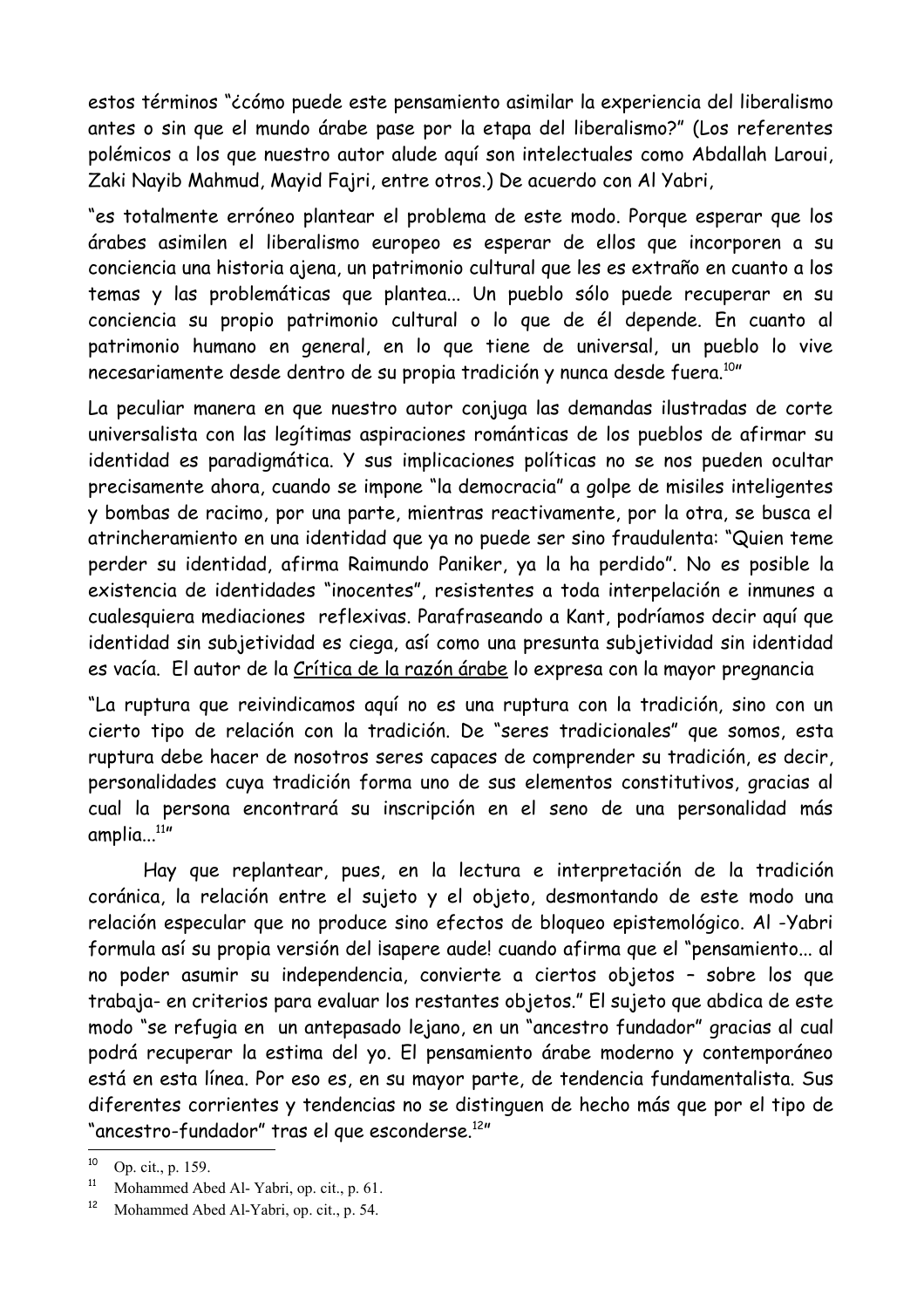estos términos "ecómo puede este pensamiento asimilar la experiencia del liberalismo antes o sin que el mundo árabe pase por la etapa del liberalismo?" (Los referentes polémicos a los que nuestro autor alude aquí son intelectuales como Abdallah Laroui, Zaki Nayib Mahmud, Mayid Fajri, entre otros.) De acuerdo con Al Yabri,

"es totalmente erróneo plantear el problema de este modo. Porque esperar que los árabes asimilen el liberalismo europeo es esperar de ellos que incorporen a su conciencia una historia ajena, un patrimonio cultural que les es extraño en cuanto a los temas y las problemáticas que plantea... Un pueblo sólo puede recuperar en su conciencia su propio patrimonio cultural o lo que de él depende. En cuanto al patrimonio humano en general, en lo que tiene de universal, un pueblo lo vive necesariamente desde dentro de su propia tradición y nunca desde fuera.<sup>10</sup>"

La peculiar manera en que nuestro autor conjuga las demandas ilustradas de corte universalista con las legítimas aspiraciones románticas de los pueblos de afirmar su identidad es paradigmática. Y sus implicaciones políticas no se nos pueden ocultar precisamente ahora, cuando se impone "la democracia" a golpe de misiles inteligentes y bombas de racimo, por una parte, mientras reactivamente, por la otra, se busca el atrincheramiento en una identidad que ya no puede ser sino fraudulenta: "Quien teme perder su identidad, afirma Raimundo Paniker, ya la ha perdido". No es posible la existencia de identidades "inocentes", resistentes a toda interpelación e inmunes a cualesquiera mediaciones reflexivas. Parafraseando a Kant, podríamos decir aquí que identidad sin subjetividad es ciega, así como una presunta subjetividad sin identidad es vacía. El autor de la Crítica de la razón árabe lo expresa con la mayor pregnancia

"La ruptura que reivindicamos aquí no es una ruptura con la tradición, sino con un cierto tipo de relación con la tradición. De "seres tradicionales" que somos, esta ruptura debe hacer de nosotros seres capaces de comprender su tradición, es decir, personalidades cuya tradición forma uno de sus elementos constitutivos, gracias al cual la persona encontrará su inscripción en el seno de una personalidad más amplia...<sup>11</sup>"

Hay que replantear, pues, en la lectura e interpretación de la tradición coránica, la relación entre el sujeto y el objeto, desmontando de este modo una relación especular que no produce sino efectos de bloqueo epistemológico. Al -Yabri formula así su propia versión del isapere aude! cuando afirma que el "pensamiento... al no poder asumir su independencia, convierte a ciertos objetos - sobre los que trabaja- en criterios para evaluar los restantes objetos." El sujeto que abdica de este modo "se refugia en un antepasado lejano, en un "ancestro fundador" gracias al cual podrá recuperar la estima del yo. El pensamiento árabe moderno y contemporáneo está en esta línea. Por eso es, en su mayor parte, de tendencia fundamentalista. Sus diferentes corrientes y tendencias no se distinguen de hecho más que por el tipo de "ancestro-fundador" tras el que esconderse.<sup>12</sup>"

 $10<sup>10</sup>$ Op. cit., p. 159.

<sup>11</sup> Mohammed Abed Al-Yabri, op. cit., p. 61.

 $12<sup>2</sup>$ Mohammed Abed Al-Yabri, op. cit., p. 54.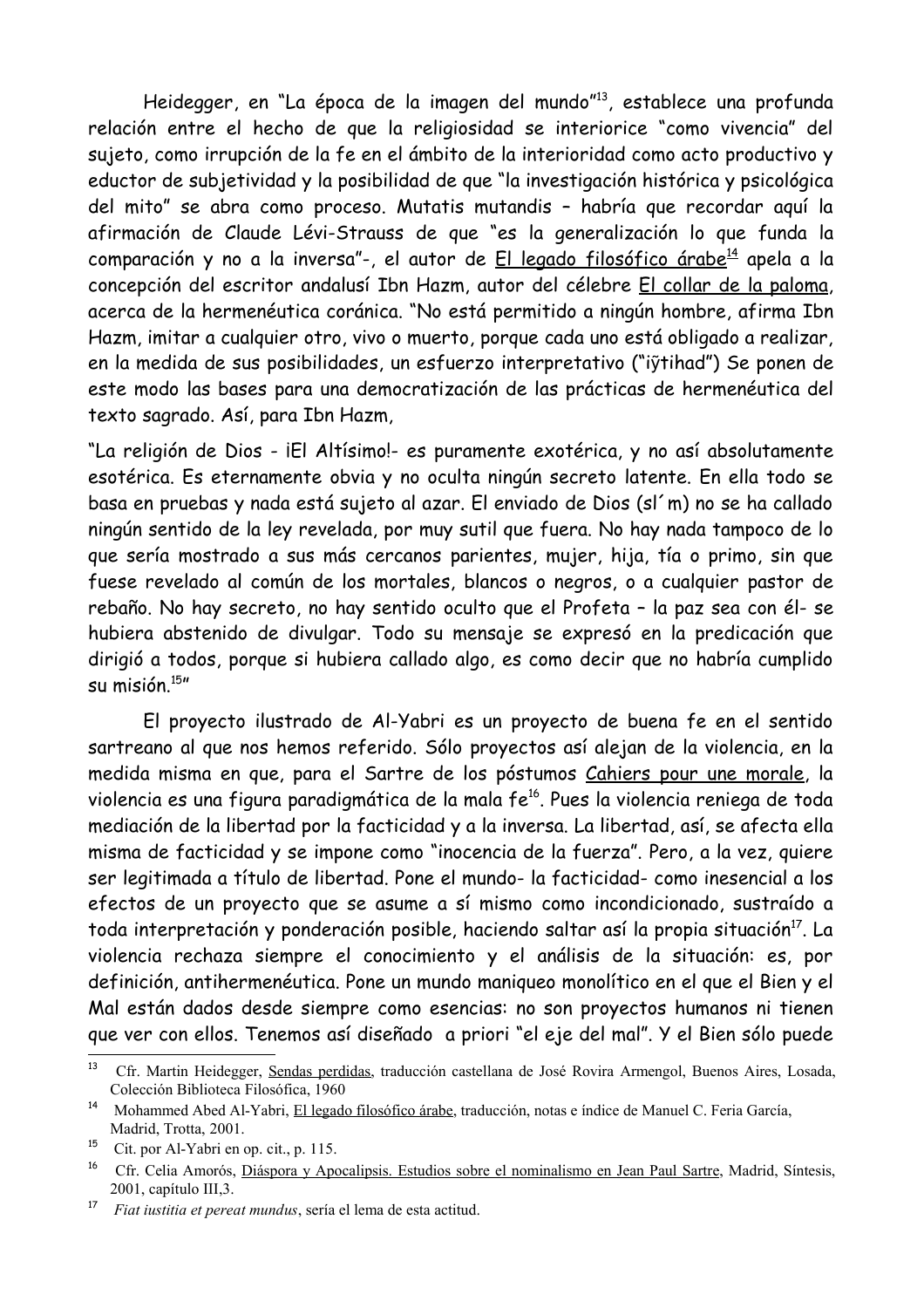Heidegger, en "La época de la imagen del mundo"<sup>13</sup>, establece una profunda relación entre el hecho de que la religiosidad se interiorice "como vivencia" del sujeto, como irrupción de la fe en el ámbito de la interioridad como acto productivo y eductor de subjetividad y la posibilidad de que "la investigación histórica y psicológica del mito" se abra como proceso. Mutatis mutandis - habría que recordar aquí la afirmación de Claude Lévi-Strauss de que "es la generalización lo que funda la comparación y no a la inversa"-, el autor de El legado filosófico árabe<sup>14</sup> apela a la concepción del escritor andalusí Ibn Hazm, autor del célebre El collar de la paloma, acerca de la hermenéutica coránica. "No está permitido a ningún hombre, afirma Ibn Hazm, imitar a cualquier otro, vivo o muerto, porque cada uno está obligado a realizar, en la medida de sus posibilidades, un esfuerzo interpretativo ("iỹtihad") Se ponen de este modo las bases para una democratización de las prácticas de hermenéutica del texto sagrado. Así, para Ibn Hazm,

"La religión de Dios - iEl Altísimo!- es puramente exotérica, y no así absolutamente esotérica. Es eternamente obvia y no oculta ningún secreto latente. En ella todo se basa en pruebas y nada está sujeto al azar. El enviado de Dios (sl'm) no se ha callado ningún sentido de la ley revelada, por muy sutil que fuera. No hay nada tampoco de lo que sería mostrado a sus más cercanos parientes, mujer, hija, tía o primo, sin que fuese revelado al común de los mortales, blancos o negros, o a cualquier pastor de rebaño. No hay secreto, no hay sentido oculto que el Profeta - la paz sea con él-se hubiera abstenido de divulgar. Todo su mensaje se expresó en la predicación que dirigió a todos, porque si hubiera callado algo, es como decir que no habría cumplido su misión 15"

El proyecto ilustrado de Al-Yabri es un proyecto de buena fe en el sentido sartreano al que nos hemos referido. Sólo proyectos así alejan de la violencia, en la medida misma en que, para el Sartre de los póstumos Cahiers pour une morale, la violencia es una figura paradigmática de la mala fe<sup>16</sup>. Pues la violencia reniega de toda mediación de la libertad por la facticidad y a la inversa. La libertad, así, se afecta ella misma de facticidad y se impone como "inocencia de la fuerza". Pero, a la vez, quiere ser legitimada a título de libertad. Pone el mundo- la facticidad- como inesencial a los efectos de un proyecto que se asume a sí mismo como incondicionado, sustraído a toda interpretación y ponderación posible, haciendo saltar así la propia situación<sup>17</sup>. La violencia rechaza siempre el conocimiento y el análisis de la situación: es, por definición, antihermenéutica. Pone un mundo maniqueo monolítico en el que el Bien y el Mal están dados desde siempre como esencias: no son proyectos humanos ni tienen que ver con ellos. Tenemos así diseñado a priori "el eje del mal". Y el Bien sólo puede

 $13$ Cfr. Martin Heidegger, Sendas perdidas, traducción castellana de José Rovira Armengol, Buenos Aires, Losada, Colección Biblioteca Filosófica, 1960

<sup>&</sup>lt;sup>14</sup> Mohammed Abed Al-Yabri, *El legado filosófico árabe*, traducción, notas e índice de Manuel C. Feria García, Madrid, Trotta, 2001.

<sup>15</sup> Cit. por Al-Yabri en op. cit., p. 115.

<sup>&</sup>lt;sup>16</sup> Cfr. Celia Amorós, Diáspora y Apocalipsis. Estudios sobre el nominalismo en Jean Paul Sartre, Madrid, Síntesis, 2001, capítulo III, 3.

<sup>&</sup>lt;sup>17</sup> Fiat iustitia et pereat mundus, sería el lema de esta actitud.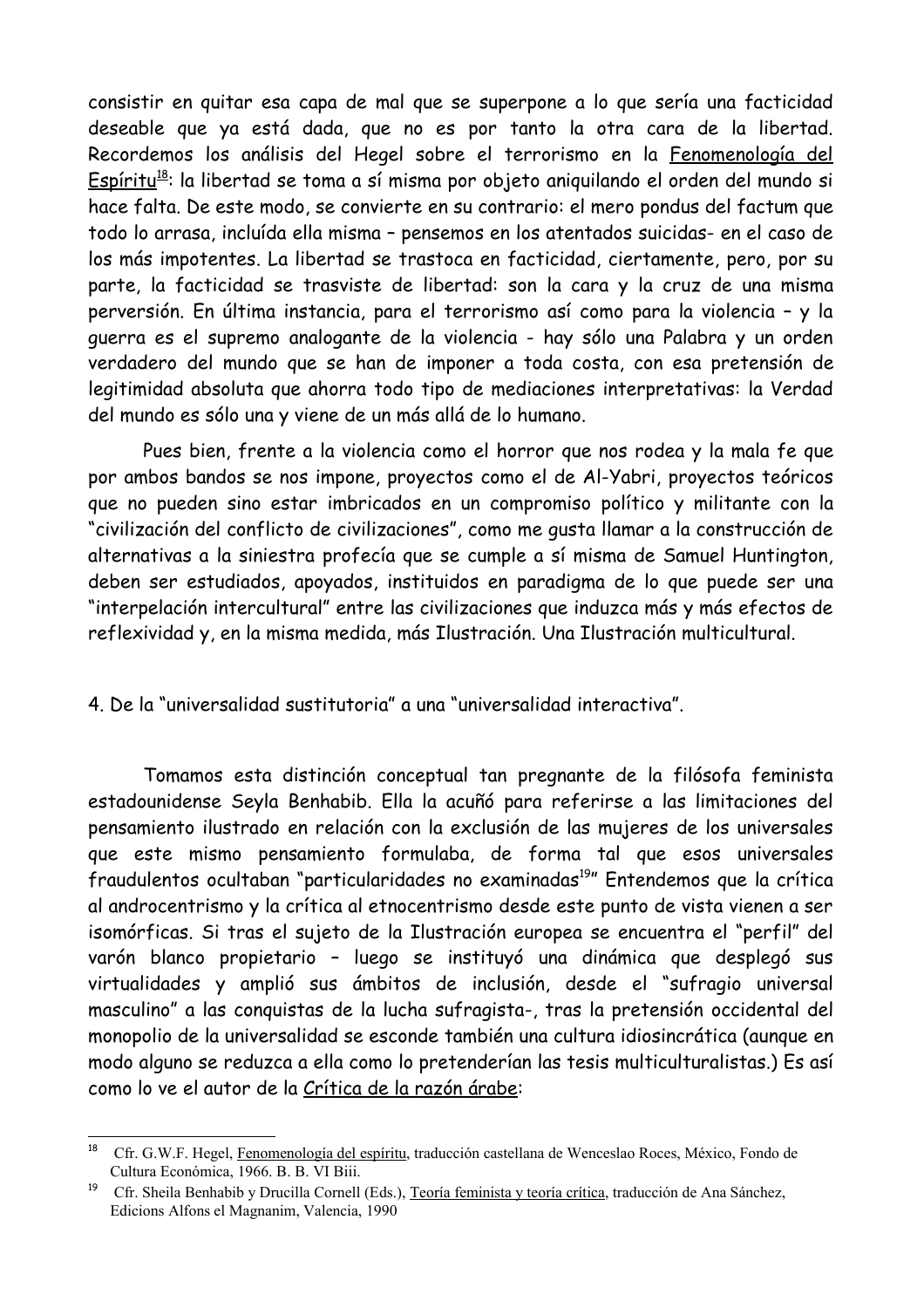consistir en quitar esa capa de mal que se superpone a lo que sería una facticidad deseable que ya está dada, que no es por tanto la otra cara de la libertad. Recordemos los análisis del Hegel sobre el terrorismo en la Fenomenología del Espíritu<sup>18</sup>: la libertad se toma a sí misma por objeto aniguilando el orden del mundo si hace falta. De este modo, se convierte en su contrario: el mero pondus del factum que todo lo arrasa, incluída ella misma - pensemos en los atentados suicidas- en el caso de los más impotentes. La libertad se trastoca en facticidad, ciertamente, pero, por su parte, la facticidad se trasviste de libertad: son la cara y la cruz de una misma perversión. En última instancia, para el terrorismo así como para la violencia - y la guerra es el supremo analogante de la violencia - hay sólo una Palabra y un orden verdadero del mundo que se han de imponer a toda costa, con esa pretensión de legitimidad absoluta que ahorra todo tipo de mediaciones interpretativas: la Verdad del mundo es sólo una y viene de un más allá de lo humano.

Pues bien, frente a la violencia como el horror que nos rodea y la mala fe que por ambos bandos se nos impone, proyectos como el de Al-Yabri, proyectos teóricos que no pueden sino estar imbricados en un compromiso político y militante con la "civilización del conflicto de civilizaciones", como me gusta llamar a la construcción de alternativas a la siniestra profecía que se cumple a sí misma de Samuel Huntington, deben ser estudiados, apoyados, instituidos en paradigma de lo que puede ser una "interpelación intercultural" entre las civilizaciones que induzca más y más efectos de reflexividad y, en la misma medida, más Ilustración. Una Ilustración multicultural.

## 4. De la "universalidad sustitutoria" a una "universalidad interactiva".

Tomamos esta distinción conceptual tan pregnante de la filósofa feminista estadounidense Seyla Benhabib. Ella la acuñó para referirse a las limitaciones del pensamiento ilustrado en relación con la exclusión de las mujeres de los universales que este mismo pensamiento formulaba, de forma tal que esos universales fraudulentos ocultaban "particularidades no examinadas<sup>19</sup>" Entendemos que la crítica al androcentrismo y la crítica al etnocentrismo desde este punto de vista vienen a ser isomórficas. Si tras el sujeto de la Ilustración europea se encuentra el "perfil" del varón blanco propietario - luego se instituyó una dinámica que desplegó sus virtualidades y amplió sus ámbitos de inclusión, desde el "sufragio universal masculino" a las conquistas de la lucha sufragista-, tras la pretensión occidental del monopolio de la universalidad se esconde también una cultura idiosincrática (aunque en modo alguno se reduzca a ella como lo pretenderían las tesis multiculturalistas.) Es así como lo ve el autor de la Crítica de la razón árabe:

<sup>18</sup> Cfr. G.W.F. Hegel, Fenomenología del espíritu, traducción castellana de Wenceslao Roces, México, Fondo de Cultura Económica, 1966. B. B. VI Biii.

<sup>&</sup>lt;sup>19</sup> Cfr. Sheila Benhabib y Drucilla Cornell (Eds.), Teoría feminista y teoría crítica, traducción de Ana Sánchez, Edicions Alfons el Magnanim, Valencia, 1990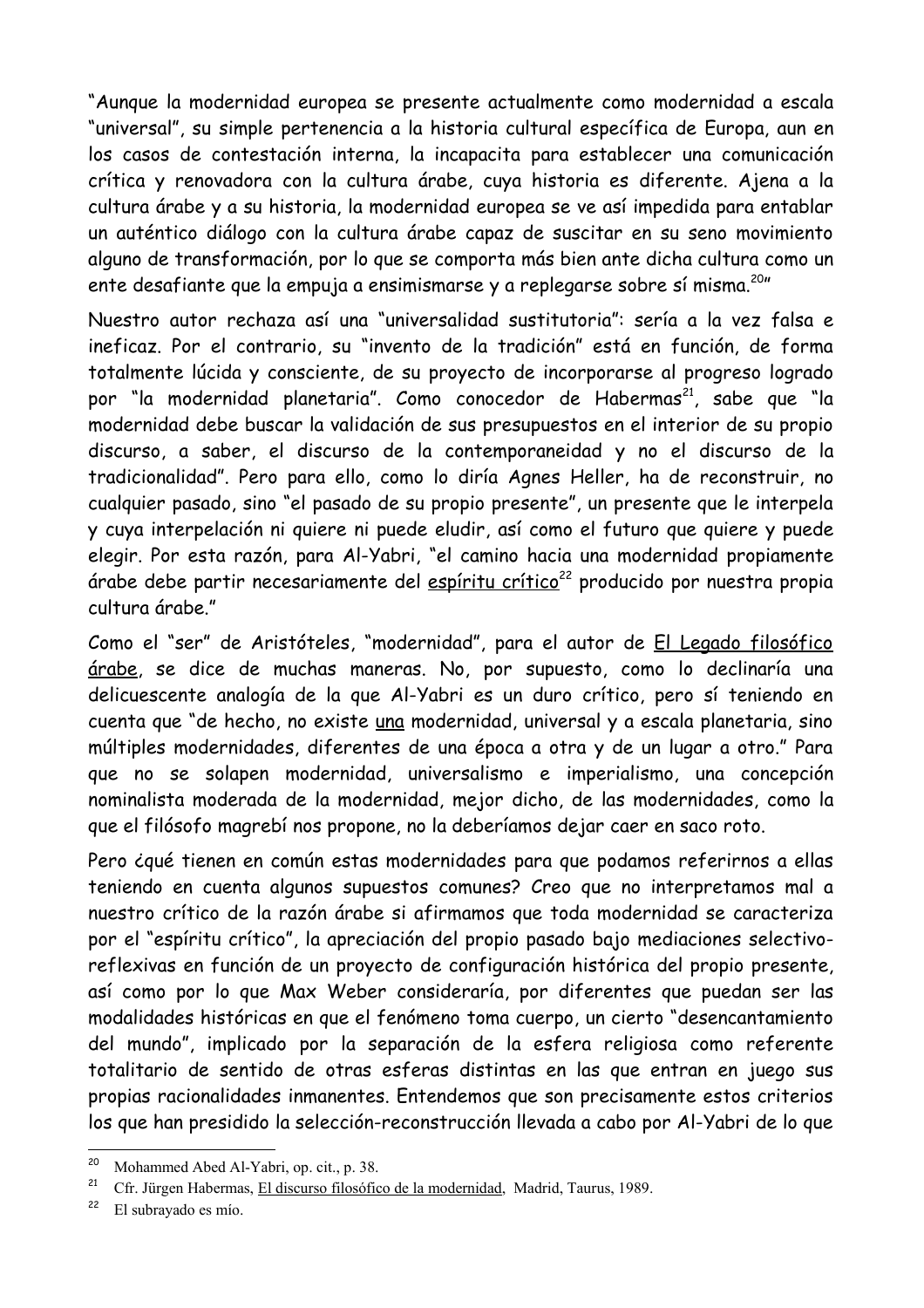"Aunque la modernidad europea se presente actualmente como modernidad a escala "universal", su simple pertenencia a la historia cultural específica de Europa, aun en los casos de contestación interna, la incapacita para establecer una comunicación crítica y renovadora con la cultura árabe, cuya historia es diferente. Ajena a la cultura árabe y a su historia, la modernidad europea se ve así impedida para entablar un auténtico diálogo con la cultura árabe capaz de suscitar en su seno movimiento alguno de transformación, por lo que se comporta más bien ante dicha cultura como un ente desafiante que la empuja a ensimismarse y a replegarse sobre sí misma.<sup>20</sup>"

Nuestro autor rechaza así una "universalidad sustitutoria": sería a la vez falsa e ineficaz. Por el contrario, su "invento de la tradición" está en función, de forma totalmente lúcida y consciente, de su proyecto de incorporarse al progreso logrado por "la modernidad planetaria". Como conocedor de Habermas<sup>21</sup>, sabe que "la modernidad debe buscar la validación de sus presupuestos en el interior de su propio discurso, a saber, el discurso de la contemporaneidad y no el discurso de la tradicionalidad". Pero para ello, como lo diría Agnes Heller, ha de reconstruir, no cualquier pasado, sino "el pasado de su propio presente", un presente que le interpela y cuya interpelación ni quiere ni puede eludir, así como el futuro que quiere y puede elegir. Por esta razón, para Al-Yabri, "el camino hacia una modernidad propiamente árabe debe partir necesariamente del espíritu crítico<sup>22</sup> producido por nuestra propia cultura árabe."

Como el "ser" de Aristóteles, "modernidad", para el autor de El Legado filosófico árabe, se dice de muchas maneras. No, por supuesto, como lo declinaría una delicuescente analogía de la que Al-Yabri es un duro crítico, pero sí teniendo en cuenta que "de hecho, no existe una modernidad, universal y a escala planetaria, sino múltiples modernidades, diferentes de una época a otra y de un lugar a otro." Para que no se solapen modernidad, universalismo e imperialismo, una concepción nominalista moderada de la modernidad, mejor dicho, de las modernidades, como la que el filósofo magrebí nos propone, no la deberíamos dejar caer en saco roto.

Pero cqué tienen en común estas modernidades para que podamos referirnos a ellas teniendo en cuenta algunos supuestos comunes? Creo que no interpretamos mal a nuestro crítico de la razón árabe si afirmamos que toda modernidad se caracteriza por el "espíritu crítico", la apreciación del propio pasado bajo mediaciones selectivoreflexivas en función de un proyecto de configuración histórica del propio presente, así como por lo que Max Weber consideraría, por diferentes que puedan ser las modalidades históricas en que el fenómeno toma cuerpo, un cierto "desencantamiento del mundo", implicado por la separación de la esfera religiosa como referente totalitario de sentido de otras esferas distintas en las que entran en juego sus propias racionalidades inmanentes. Entendemos que son precisamente estos criterios los que han presidido la selección-reconstrucción llevada a cabo por Al-Yabri de lo que

 $20<sub>o</sub>$ Mohammed Abed Al-Yabri, op. cit., p. 38.

 $21$ Cfr. Jürgen Habermas, El discurso filosófico de la modernidad, Madrid, Taurus, 1989.

 $22$ El subrayado es mío.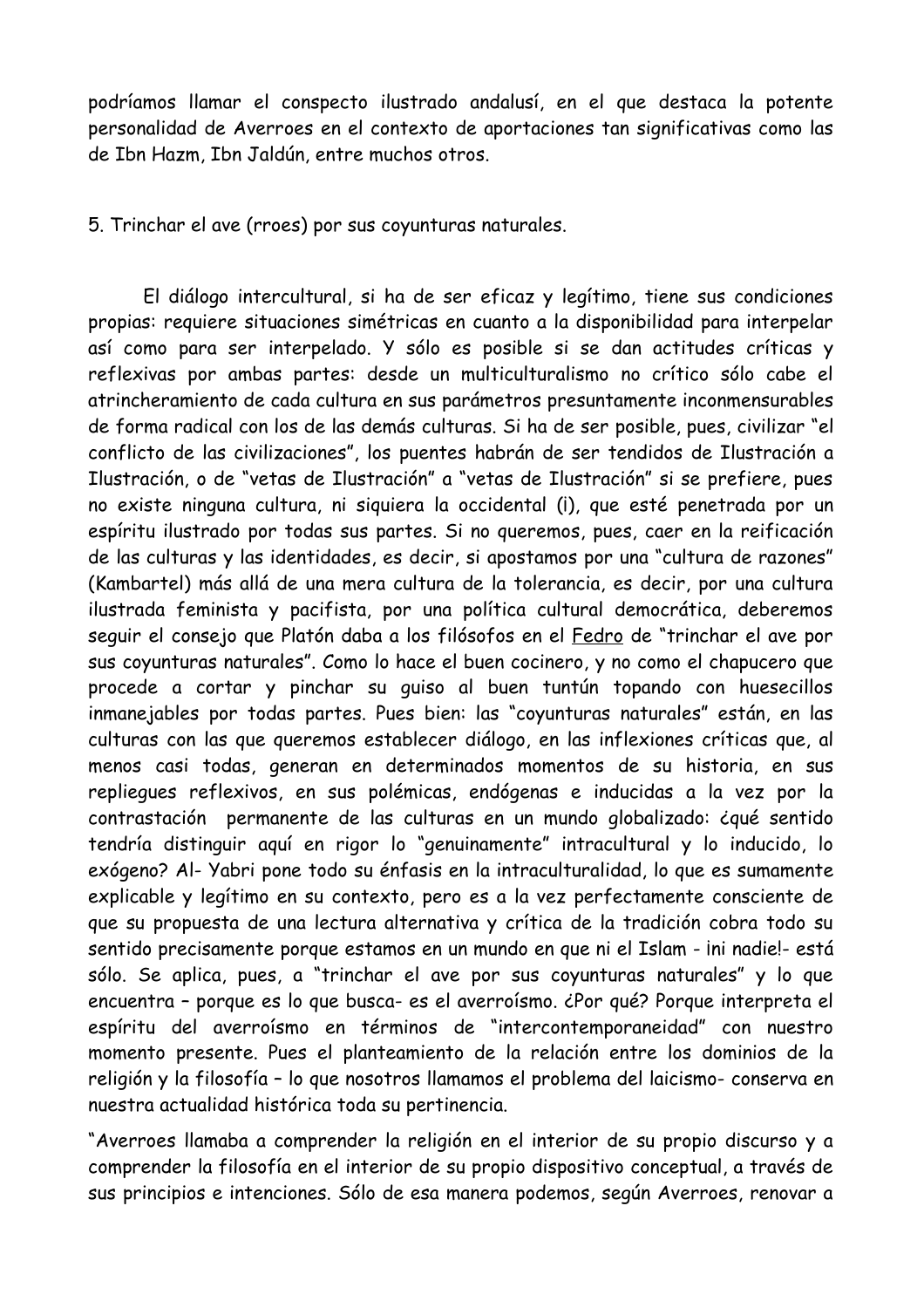podríamos llamar el conspecto ilustrado andalusí, en el que destaca la potente personalidad de Averroes en el contexto de aportaciones tan significativas como las de Ibn Hazm, Ibn Jaldún, entre muchos otros.

5. Trinchar el ave (rroes) por sus coyunturas naturales.

El diálogo intercultural, si ha de ser eficaz y legítimo, tiene sus condiciones propias: requiere situaciones simétricas en cuanto a la disponibilidad para interpelar así como para ser interpelado. Y sólo es posible si se dan actitudes críticas y reflexivas por ambas partes: desde un multiculturalismo no crítico sólo cabe el atrincheramiento de cada cultura en sus parámetros presuntamente inconmensurables de forma radical con los de las demás culturas. Si ha de ser posible, pues, civilizar "el conflicto de las civilizaciones", los puentes habrán de ser tendidos de Ilustración a Ilustración, o de "vetas de Ilustración" a "vetas de Ilustración" si se prefiere, pues no existe ninguna cultura, ni siguiera la occidental (i), que esté penetrada por un espíritu ilustrado por todas sus partes. Si no queremos, pues, caer en la reificación de las culturas y las identidades, es decir, si apostamos por una "cultura de razones" (Kambartel) más allá de una mera cultura de la tolerancia, es decir, por una cultura ilustrada feminista y pacifista, por una política cultural democrática, deberemos seguir el consejo que Platón daba a los filósofos en el Fedro de "trinchar el ave por sus coyunturas naturales". Como lo hace el buen cocinero, y no como el chapucero que procede a cortar y pinchar su quiso al buen tuntún topando con huesecillos inmanejables por todas partes. Pues bien: las "coyunturas naturales" están, en las culturas con las que queremos establecer diálogo, en las inflexiones críticas que, al menos casi todas, generan en determinados momentos de su historia, en sus repliegues reflexivos, en sus polémicas, endógenas e inducidas a la vez por la contrastación permanente de las culturas en un mundo globalizado: ¿qué sentido tendría distinguir aguí en rigor lo "genuinamente" intracultural y lo inducido, lo exógeno? Al- Yabri pone todo su énfasis en la intraculturalidad, lo que es sumamente explicable y legítimo en su contexto, pero es a la vez perfectamente consciente de que su propuesta de una lectura alternativa y crítica de la tradición cobra todo su sentido precisamente porque estamos en un mundo en que ni el Islam - ini nadie!- está sólo. Se aplica, pues, a "trinchar el ave por sus coyunturas naturales" y lo que encuentra - porque es lo que busca- es el averroísmo. ¿Por qué? Porque interpreta el espíritu del averroísmo en términos de "intercontemporaneidad" con nuestro momento presente. Pues el planteamiento de la relación entre los dominios de la religión y la filosofía - lo que nosotros llamamos el problema del laicismo- conserva en nuestra actualidad histórica toda su pertinencia.

"Averroes llamaba a comprender la religión en el interior de su propio discurso y a comprender la filosofía en el interior de su propio dispositivo conceptual, a través de sus principios e intenciones. Sólo de esa manera podemos, según Averroes, renovar a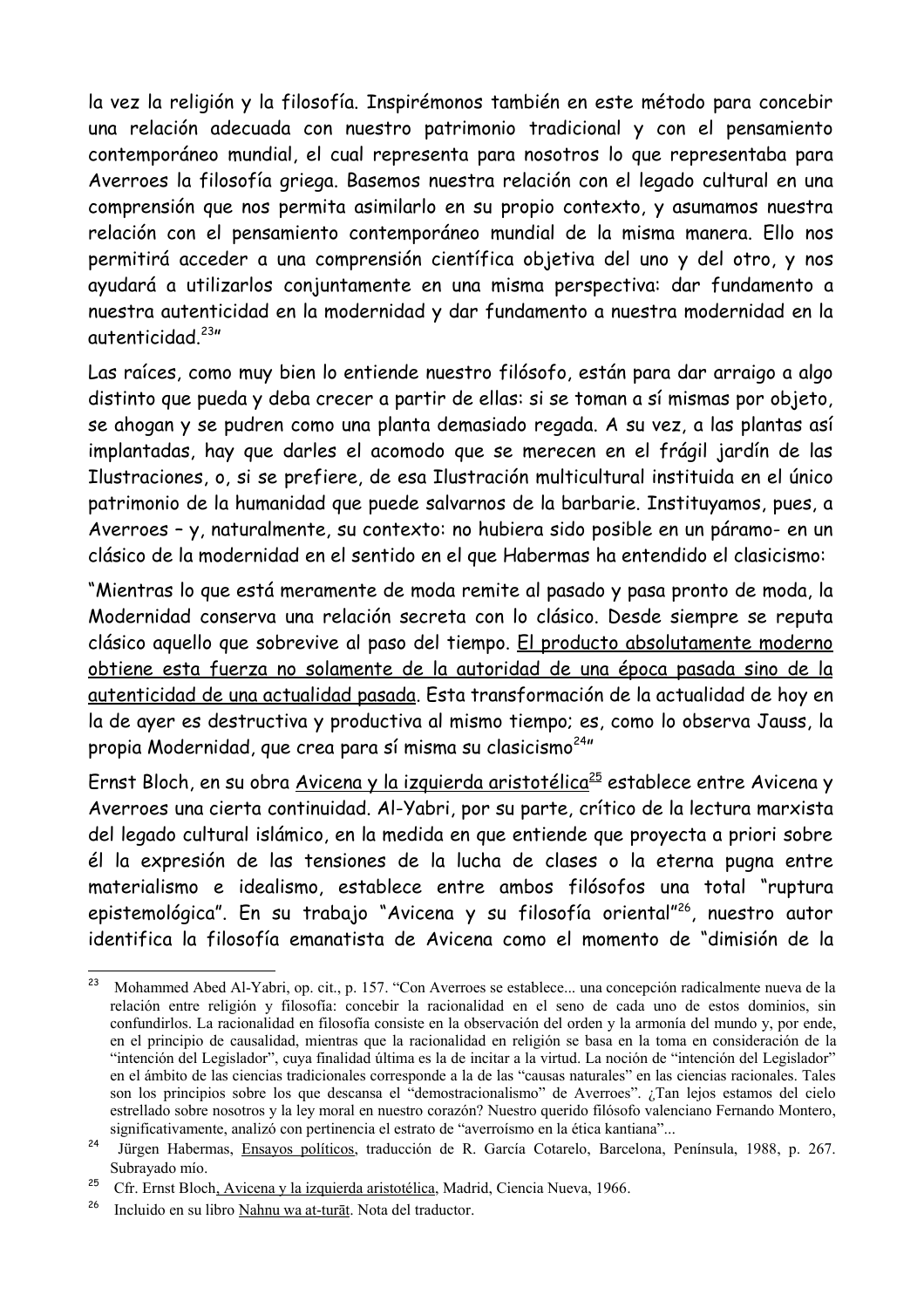la vez la religión y la filosofía. Inspirémonos también en este método para concebir una relación adecuada con nuestro patrimonio tradicional y con el pensamiento contemporáneo mundial, el cual representa para nosotros lo que representaba para Averroes la filosofía griega. Basemos nuestra relación con el legado cultural en una comprensión que nos permita asimilarlo en su propio contexto, y asumamos nuestra relación con el pensamiento contemporáneo mundial de la misma manera. Ello nos permitirá acceder a una comprensión científica objetiva del uno y del otro, y nos ayudará a utilizarlos conjuntamente en una misma perspectiva: dar fundamento a nuestra autenticidad en la modernidad y dar fundamento a nuestra modernidad en la qutenticidad<sup>23"</sup>

Las raíces, como muy bien lo entiende nuestro filósofo, están para dar arraigo a algo distinto que pueda y deba crecer a partir de ellas: si se toman a sí mismas por objeto, se ahogan y se pudren como una planta demasiado regada. A su vez, a las plantas así implantadas, hay que darles el acomodo que se merecen en el frágil jardín de las Ilustraciones, o, si se prefiere, de esa Ilustración multicultural instituida en el único patrimonio de la humanidad que puede salvarnos de la barbarie. Instituyamos, pues, a Averroes - y, naturalmente, su contexto: no hubiera sido posible en un páramo- en un clásico de la modernidad en el sentido en el que Habermas ha entendido el clasicismo:

"Mientras lo que está meramente de moda remite al pasado y pasa pronto de moda, la Modernidad conserva una relación secreta con lo clásico. Desde siempre se reputa clásico aquello que sobrevive al paso del tiempo. El producto absolutamente moderno obtiene esta fuerza no solamente de la autoridad de una época pasada sino de la autenticidad de una actualidad pasada. Esta transformación de la actualidad de hoy en la de ayer es destructiva y productiva al mismo tiempo; es, como lo observa Jauss, la propia Modernidad, que crea para sí misma su clasicismo<sup>24</sup>"

Ernst Bloch, en su obra Avicena y la izquierda aristotélica<sup>25</sup> establece entre Avicena y Averroes una cierta continuidad. Al-Yabri, por su parte, crítico de la lectura marxista del legado cultural islámico, en la medida en que entiende que proyecta a priori sobre él la expresión de las tensiones de la lucha de clases o la eterna pugna entre materialismo e idealismo, establece entre ambos filósofos una total "ruptura epistemológica". En su trabajo "Avicena y su filosofía oriental"<sup>26</sup>, nuestro autor identifica la filosofía emanatista de Avicena como el momento de "dimisión de la

 $23$ Mohammed Abed Al-Yabri, op. cit., p. 157. "Con Averroes se establece... una concepción radicalmente nueva de la relación entre religión y filosofía: concebir la racionalidad en el seno de cada uno de estos dominios, sin confundirlos. La racionalidad en filosofía consiste en la observación del orden y la armonía del mundo y, por ende, en el principio de causalidad, mientras que la racionalidad en religión se basa en la toma en consideración de la "intención del Legislador", cuya finalidad última es la de incitar a la virtud. La noción de "intención del Legislador" en el ámbito de las ciencias tradicionales corresponde a la de las "causas naturales" en las ciencias racionales. Tales son los principios sobre los que descansa el "demostracionalismo" de Averroes". ¿Tan lejos estamos del cielo estrellado sobre nosotros y la ley moral en nuestro corazón? Nuestro querido filósofo valenciano Fernando Montero, significativamente, analizó con pertinencia el estrato de "averroísmo en la ética kantiana"...

 $24$ Jürgen Habermas, Ensayos políticos, traducción de R. García Cotarelo, Barcelona, Península, 1988, p. 267. Subravado mío.

 $25$ Cfr. Ernst Bloch, Avicena y la izquierda aristotélica, Madrid, Ciencia Nueva, 1966.

<sup>26</sup> Incluido en su libro Nahnu wa at-turāt. Nota del traductor.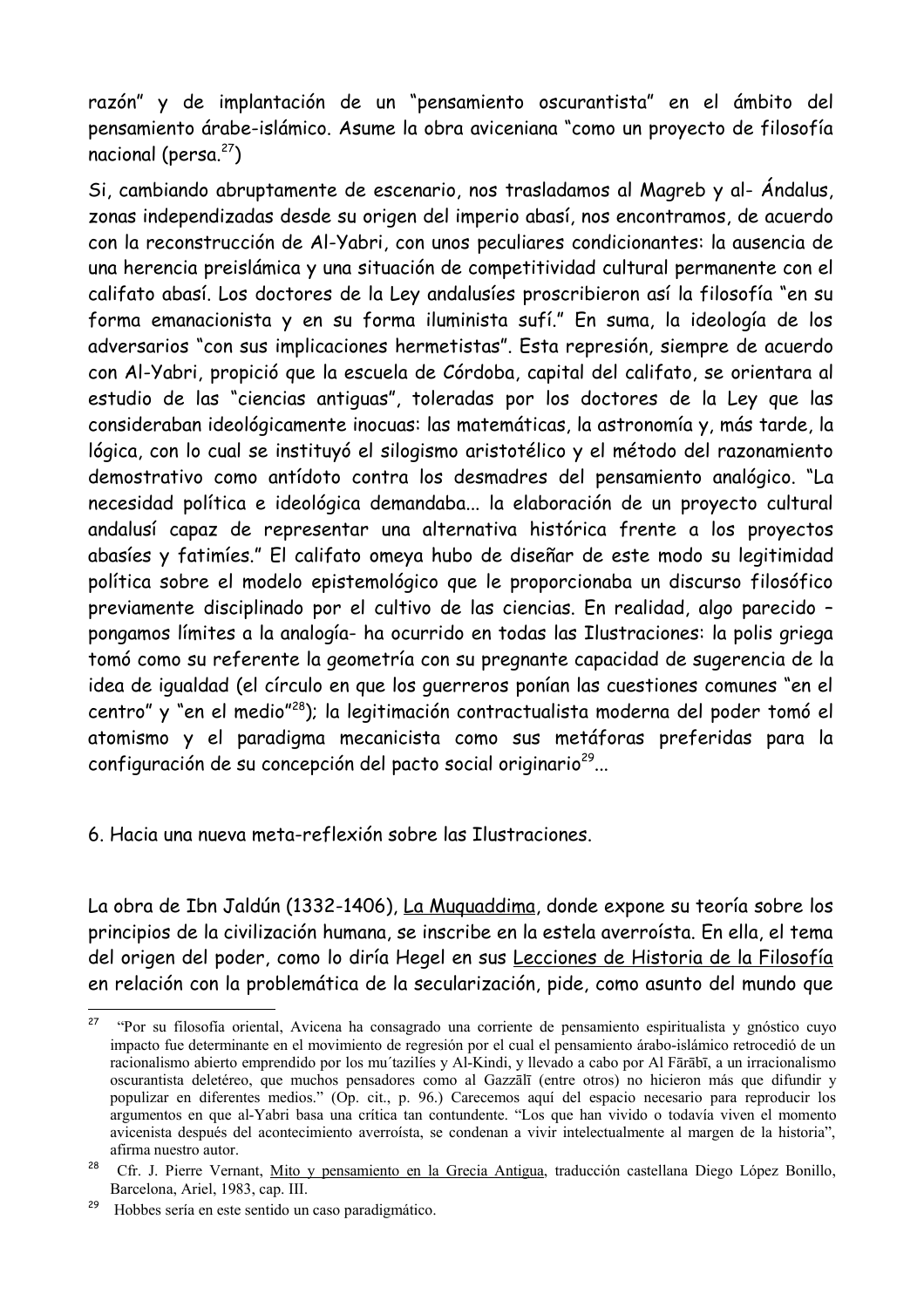razón" y de implantación de un "pensamiento oscurantista" en el ámbito del pensamiento árabe-islámico. Asume la obra aviceniana "como un proyecto de filosofía nacional (persa. $27$ )

Si, cambiando abruptamente de escenario, nos trasladamos al Magreb y al-Ándalus, zonas independizadas desde su origen del imperio abasí, nos encontramos, de acuerdo con la reconstrucción de Al-Yabri, con unos peculiares condicionantes: la ausencia de una herencia preislámica y una situación de competitividad cultural permanente con el califato abasí. Los doctores de la Ley andalusíes proscribieron así la filosofía "en su forma emanacionista y en su forma iluminista sufí." En suma, la ideología de los adversarios "con sus implicaciones hermetistas". Esta represión, siempre de acuerdo con Al-Yabri, propició que la escuela de Córdoba, capital del califato, se orientara al estudio de las "ciencias antiguas", toleradas por los doctores de la Ley que las consideraban ideológicamente inocuas: las matemáticas, la astronomía y, más tarde, la lógica, con lo cual se instituyó el silogismo aristotélico y el método del razonamiento demostrativo como antídoto contra los desmadres del pensamiento analógico. "La necesidad política e ideológica demandaba... la elaboración de un proyecto cultural andalusí capaz de representar una alternativa histórica frente a los proyectos abasíes y fatimíes." El califato omeya hubo de diseñar de este modo su legitimidad política sobre el modelo epistemológico que le proporcionaba un discurso filosófico previamente disciplinado por el cultivo de las ciencias. En realidad, algo parecido pongamos límites a la analogía- ha ocurrido en todas las Ilustraciones: la polis griega tomó como su referente la geometría con su pregnante capacidad de sugerencia de la idea de igualdad (el círculo en que los querreros ponían las cuestiones comunes "en el centro" y "en el medio"<sup>28</sup>); la legitimación contractualista moderna del poder tomó el atomismo y el paradigma mecanicista como sus metáforas preferidas para la configuración de su concepción del pacto social originario<sup>29</sup>...

6. Hacia una nueva meta-reflexión sobre las Ilustraciones.

La obra de Ibn Jaldún (1332-1406), La Muquaddima, donde expone su teoría sobre los principios de la civilización humana, se inscribe en la estela averroísta. En ella, el tema del origen del poder, como lo diría Hegel en sus Lecciones de Historia de la Filosofía en relación con la problemática de la secularización, pide, como asunto del mundo que

<sup>27</sup> "Por su filosofía oriental, Avicena ha consagrado una corriente de pensamiento espiritualista y gnóstico cuyo impacto fue determinante en el movimiento de regresión por el cual el pensamiento árabo-islámico retrocedió de un racionalismo abierto emprendido por los mu'azilies y Al-Kindi, y llevado a cabo por Al Fārābī, a un irracionalismo oscurantista deletéreo, que muchos pensadores como al Gazzali (entre otros) no hicieron más que difundir y populizar en diferentes medios." (Op. cit., p. 96.) Carecemos aquí del espacio necesario para reproducir los argumentos en que al-Yabri basa una crítica tan contundente. "Los que han vivido o todavía viven el momento avicenista después del acontecimiento averroísta, se condenan a vivir intelectualmente al margen de la historia", afirma nuestro autor.

<sup>28</sup> Cfr. J. Pierre Vernant, Mito y pensamiento en la Grecia Antigua, traducción castellana Diego López Bonillo, Barcelona, Ariel, 1983, cap. III.

 $29$ Hobbes sería en este sentido un caso paradigmático.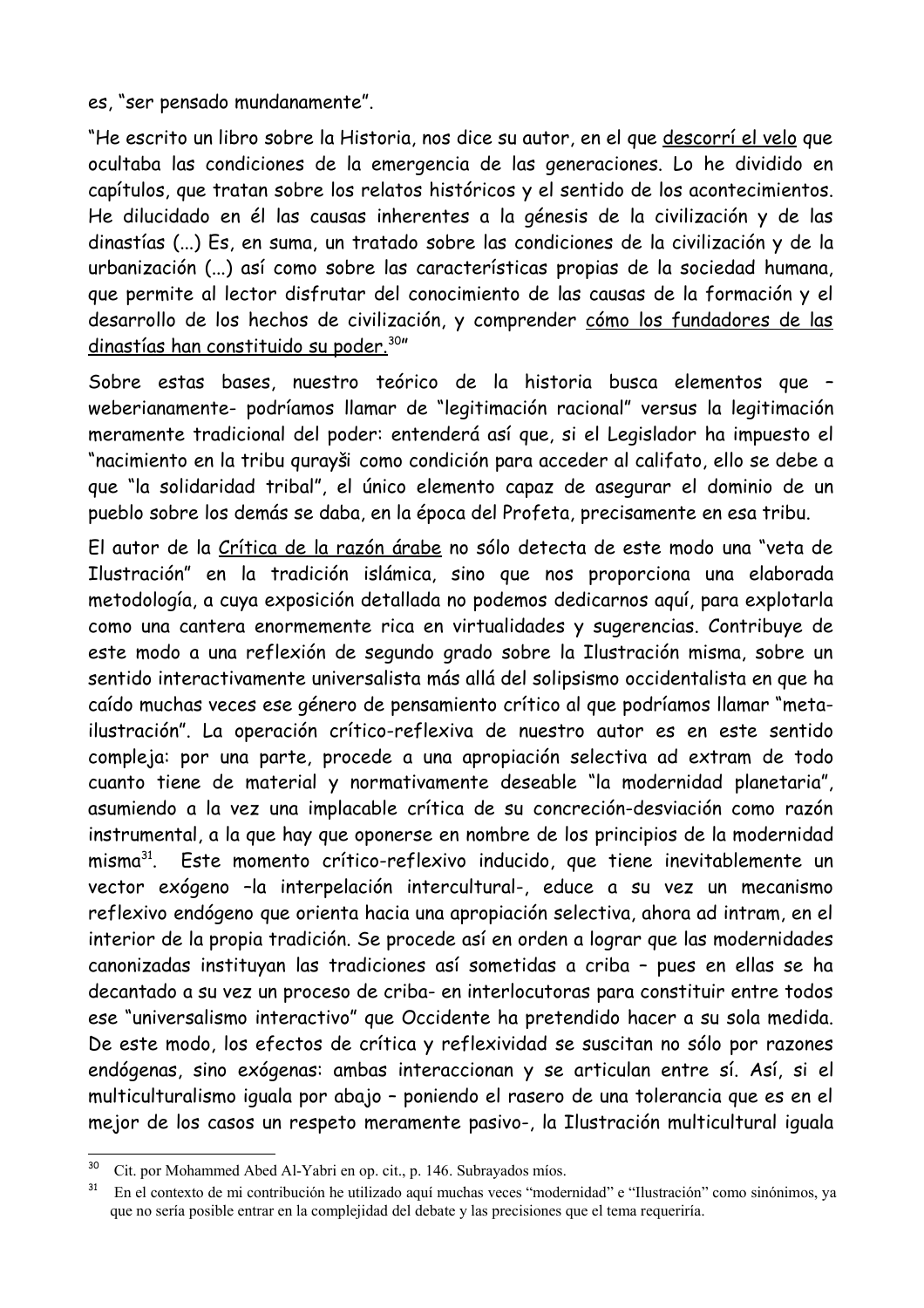es, "ser pensado mundanamente".

"He escrito un libro sobre la Historia, nos dice su autor, en el que descorrí el velo que ocultaba las condiciones de la emergencia de las generaciones. Lo he dividido en capítulos, que tratan sobre los relatos históricos y el sentido de los acontecimientos. He dilucidado en él las causas inherentes a la génesis de la civilización y de las dinastías (...) Es, en suma, un tratado sobre las condiciones de la civilización y de la urbanización (...) así como sobre las características propias de la sociedad humana. que permite al lector disfrutar del conocimiento de las causas de la formación y el desarrollo de los hechos de civilización, y comprender cómo los fundadores de las dinastías han constituido su poder.<sup>30</sup>"

Sobre estas bases, nuestro teórico de la historia busca elementos que weberianamente- podríamos llamar de "legitimación racional" versus la legitimación meramente tradicional del poder: entenderá así que, si el Legislador ha impuesto el "nacimiento en la tribu gurayši como condición para acceder al califato, ello se debe a que "la solidaridad tribal", el único elemento capaz de asegurar el dominio de un pueblo sobre los demás se daba, en la época del Profeta, precisamente en esa tribu.

El autor de la Crítica de la razón árabe no sólo detecta de este modo una "veta de Ilustración" en la tradición islámica, sino que nos proporciona una elaborada metodología, a cuya exposición detallada no podemos dedicarnos aquí, para explotarla como una cantera enormemente rica en virtualidades y sugerencias. Contribuye de este modo a una reflexión de segundo grado sobre la Ilustración misma, sobre un sentido interactivamente universalista más allá del solipsismo occidentalista en que ha caído muchas veces ese género de pensamiento crítico al que podríamos llamar "metailustración". La operación crítico-reflexiva de nuestro autor es en este sentido compleja: por una parte, procede a una apropiación selectiva ad extram de todo cuanto tiene de material y normativamente deseable "la modernidad planetaria", asumiendo a la vez una implacable crítica de su concreción-desviación como razón instrumental, a la que hay que oponerse en nombre de los principios de la modernidad misma<sup>31</sup>. Este momento crítico-reflexivo inducido, que tiene inevitablemente un vector exógeno -la interpelación intercultural-, educe a su vez un mecanismo reflexivo endógeno que orienta hacia una apropiación selectiva, ahora ad intram, en el interior de la propia tradición. Se procede así en orden a lograr que las modernidades canonizadas instituyan las tradiciones así sometidas a criba - pues en ellas se ha decantado a su vez un proceso de criba- en interlocutoras para constituir entre todos ese "universalismo interactivo" que Occidente ha pretendido hacer a su sola medida. De este modo, los efectos de crítica y reflexividad se suscitan no sólo por razones endógenas, sino exógenas: ambas interaccionan y se articulan entre sí. Así, si el multiculturalismo iguala por abajo - poniendo el rasero de una tolerancia que es en el mejor de los casos un respeto meramente pasivo-, la Ilustración multicultural iguala

<sup>30</sup> Cit. por Mohammed Abed Al-Yabri en op. cit., p. 146. Subrayados míos.

 $31$ En el contexto de mi contribución he utilizado aquí muchas veces "modernidad" e "Ilustración" como sinónimos, ya que no sería posible entrar en la complejidad del debate y las precisiones que el tema requeriría.